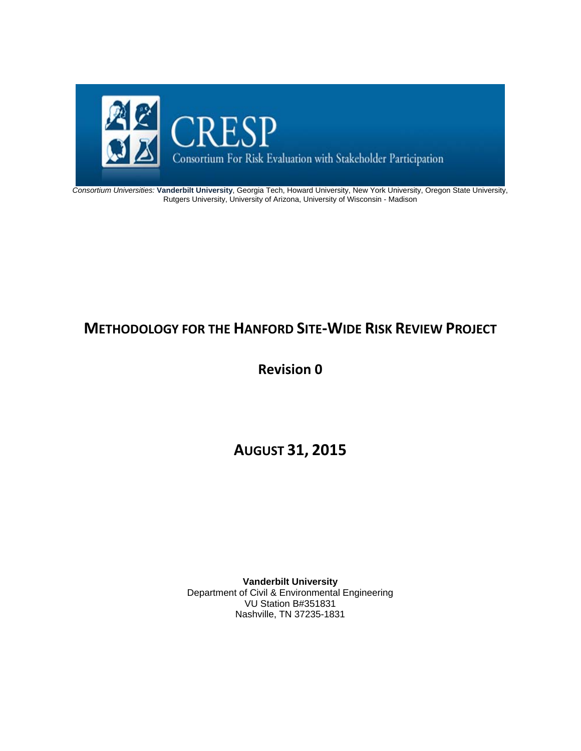

*Consortium Universities:* **Vanderbilt University**, Georgia Tech, Howard University, New York University, Oregon State University, Rutgers University, University of Arizona, University of Wisconsin - Madison

## **METHODOLOGY FOR THE HANFORD SITE‐WIDE RISK REVIEW PROJECT**

**Revision 0**

**AUGUST 31, 2015**

**Vanderbilt University**  Department of Civil & Environmental Engineering VU Station B#351831 Nashville, TN 37235-1831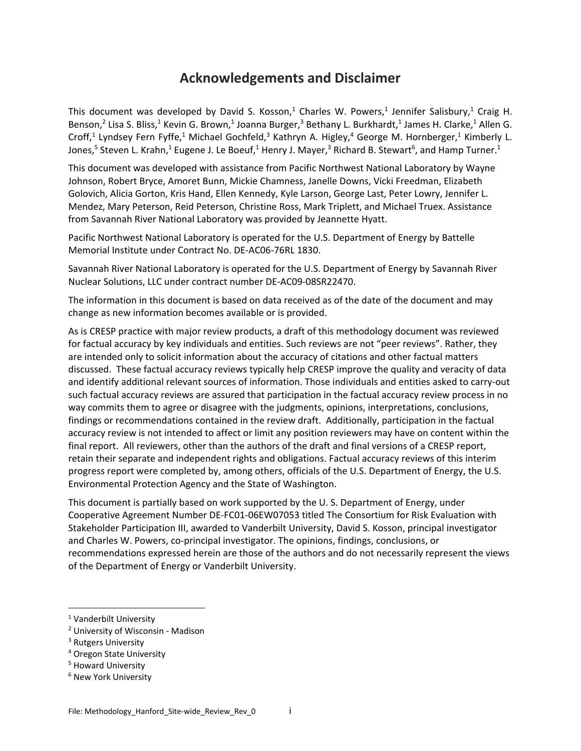## **Acknowledgements and Disclaimer**

This document was developed by David S. Kosson,<sup>1</sup> Charles W. Powers,<sup>1</sup> Jennifer Salisbury,<sup>1</sup> Craig H. Benson,<sup>2</sup> Lisa S. Bliss,<sup>1</sup> Kevin G. Brown,<sup>1</sup> Joanna Burger,<sup>3</sup> Bethany L. Burkhardt,<sup>1</sup> James H. Clarke,<sup>1</sup> Allen G. Croff,<sup>1</sup> Lyndsey Fern Fyffe,<sup>1</sup> Michael Gochfeld,<sup>3</sup> Kathryn A. Higley,<sup>4</sup> George M. Hornberger,<sup>1</sup> Kimberly L. Jones,<sup>5</sup> Steven L. Krahn,<sup>1</sup> Eugene J. Le Boeuf,<sup>1</sup> Henry J. Mayer,<sup>3</sup> Richard B. Stewart<sup>6</sup>, and Hamp Turner.<sup>1</sup>

This document was developed with assistance from Pacific Northwest National Laboratory by Wayne Johnson, Robert Bryce, Amoret Bunn, Mickie Chamness, Janelle Downs, Vicki Freedman, Elizabeth Golovich, Alicia Gorton, Kris Hand, Ellen Kennedy, Kyle Larson, George Last, Peter Lowry, Jennifer L. Mendez, Mary Peterson, Reid Peterson, Christine Ross, Mark Triplett, and Michael Truex. Assistance from Savannah River National Laboratory was provided by Jeannette Hyatt.

Pacific Northwest National Laboratory is operated for the U.S. Department of Energy by Battelle Memorial Institute under Contract No. DE‐AC06‐76RL 1830.

Savannah River National Laboratory is operated for the U.S. Department of Energy by Savannah River Nuclear Solutions, LLC under contract number DE‐AC09‐08SR22470.

The information in this document is based on data received as of the date of the document and may change as new information becomes available or is provided.

As is CRESP practice with major review products, a draft of this methodology document was reviewed for factual accuracy by key individuals and entities. Such reviews are not "peer reviews". Rather, they are intended only to solicit information about the accuracy of citations and other factual matters discussed. These factual accuracy reviews typically help CRESP improve the quality and veracity of data and identify additional relevant sources of information. Those individuals and entities asked to carry-out such factual accuracy reviews are assured that participation in the factual accuracy review process in no way commits them to agree or disagree with the judgments, opinions, interpretations, conclusions, findings or recommendations contained in the review draft. Additionally, participation in the factual accuracy review is not intended to affect or limit any position reviewers may have on content within the final report. All reviewers, other than the authors of the draft and final versions of a CRESP report, retain their separate and independent rights and obligations. Factual accuracy reviews of this interim progress report were completed by, among others, officials of the U.S. Department of Energy, the U.S. Environmental Protection Agency and the State of Washington.

This document is partially based on work supported by the U. S. Department of Energy, under Cooperative Agreement Number DE‐FC01‐06EW07053 titled The Consortium for Risk Evaluation with Stakeholder Participation III, awarded to Vanderbilt University, David S. Kosson, principal investigator and Charles W. Powers, co‐principal investigator. The opinions, findings, conclusions, or recommendations expressed herein are those of the authors and do not necessarily represent the views of the Department of Energy or Vanderbilt University.

<sup>1</sup> Vanderbilt University

<sup>2</sup> University of Wisconsin ‐ Madison

<sup>&</sup>lt;sup>3</sup> Rutgers University

<sup>4</sup> Oregon State University

<sup>5</sup> Howard University

<sup>6</sup> New York University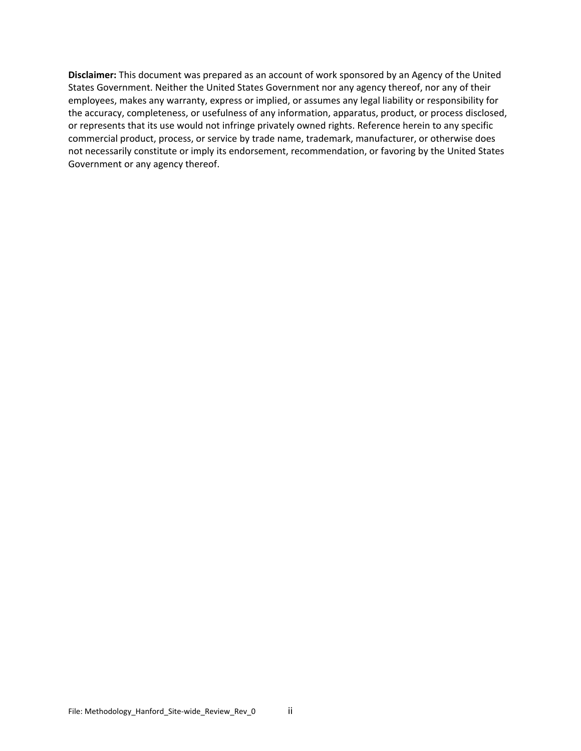**Disclaimer:** This document was prepared as an account of work sponsored by an Agency of the United States Government. Neither the United States Government nor any agency thereof, nor any of their employees, makes any warranty, express or implied, or assumes any legal liability or responsibility for the accuracy, completeness, or usefulness of any information, apparatus, product, or process disclosed, or represents that its use would not infringe privately owned rights. Reference herein to any specific commercial product, process, or service by trade name, trademark, manufacturer, or otherwise does not necessarily constitute or imply its endorsement, recommendation, or favoring by the United States Government or any agency thereof.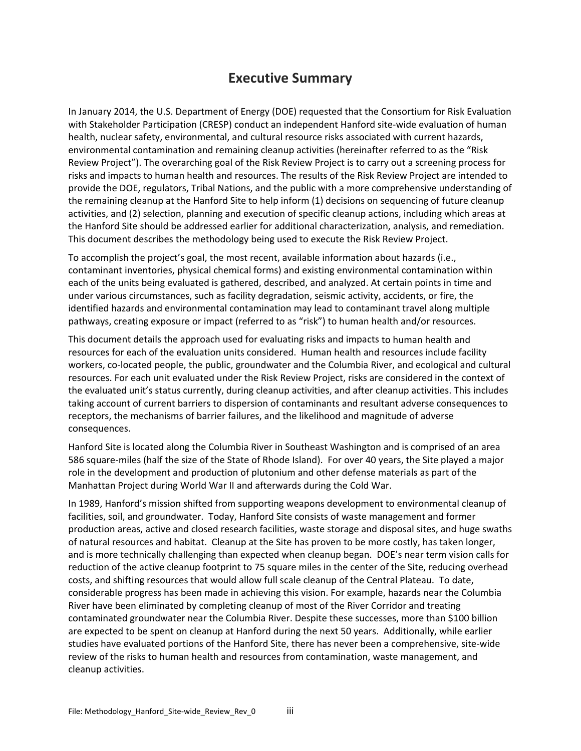## **Executive Summary**

In January 2014, the U.S. Department of Energy (DOE) requested that the Consortium for Risk Evaluation with Stakeholder Participation (CRESP) conduct an independent Hanford site-wide evaluation of human health, nuclear safety, environmental, and cultural resource risks associated with current hazards, environmental contamination and remaining cleanup activities (hereinafter referred to as the "Risk Review Project"). The overarching goal of the Risk Review Project is to carry out a screening process for risks and impacts to human health and resources. The results of the Risk Review Project are intended to provide the DOE, regulators, Tribal Nations, and the public with a more comprehensive understanding of the remaining cleanup at the Hanford Site to help inform (1) decisions on sequencing of future cleanup activities, and (2) selection, planning and execution of specific cleanup actions, including which areas at the Hanford Site should be addressed earlier for additional characterization, analysis, and remediation. This document describes the methodology being used to execute the Risk Review Project.

To accomplish the project's goal, the most recent, available information about hazards (i.e., contaminant inventories, physical chemical forms) and existing environmental contamination within each of the units being evaluated is gathered, described, and analyzed. At certain points in time and under various circumstances, such as facility degradation, seismic activity, accidents, or fire, the identified hazards and environmental contamination may lead to contaminant travel along multiple pathways, creating exposure or impact (referred to as "risk") to human health and/or resources.

This document details the approach used for evaluating risks and impacts to human health and resources for each of the evaluation units considered. Human health and resources include facility workers, co-located people, the public, groundwater and the Columbia River, and ecological and cultural resources. For each unit evaluated under the Risk Review Project, risks are considered in the context of the evaluated unit's status currently, during cleanup activities, and after cleanup activities. This includes taking account of current barriers to dispersion of contaminants and resultant adverse consequences to receptors, the mechanisms of barrier failures, and the likelihood and magnitude of adverse consequences.

Hanford Site is located along the Columbia River in Southeast Washington and is comprised of an area 586 square‐miles (half the size of the State of Rhode Island). For over 40 years, the Site played a major role in the development and production of plutonium and other defense materials as part of the Manhattan Project during World War II and afterwards during the Cold War.

In 1989, Hanford's mission shifted from supporting weapons development to environmental cleanup of facilities, soil, and groundwater. Today, Hanford Site consists of waste management and former production areas, active and closed research facilities, waste storage and disposal sites, and huge swaths of natural resources and habitat. Cleanup at the Site has proven to be more costly, has taken longer, and is more technically challenging than expected when cleanup began. DOE's near term vision calls for reduction of the active cleanup footprint to 75 square miles in the center of the Site, reducing overhead costs, and shifting resources that would allow full scale cleanup of the Central Plateau. To date, considerable progress has been made in achieving this vision. For example, hazards near the Columbia River have been eliminated by completing cleanup of most of the River Corridor and treating contaminated groundwater near the Columbia River. Despite these successes, more than \$100 billion are expected to be spent on cleanup at Hanford during the next 50 years. Additionally, while earlier studies have evaluated portions of the Hanford Site, there has never been a comprehensive, site‐wide review of the risks to human health and resources from contamination, waste management, and cleanup activities.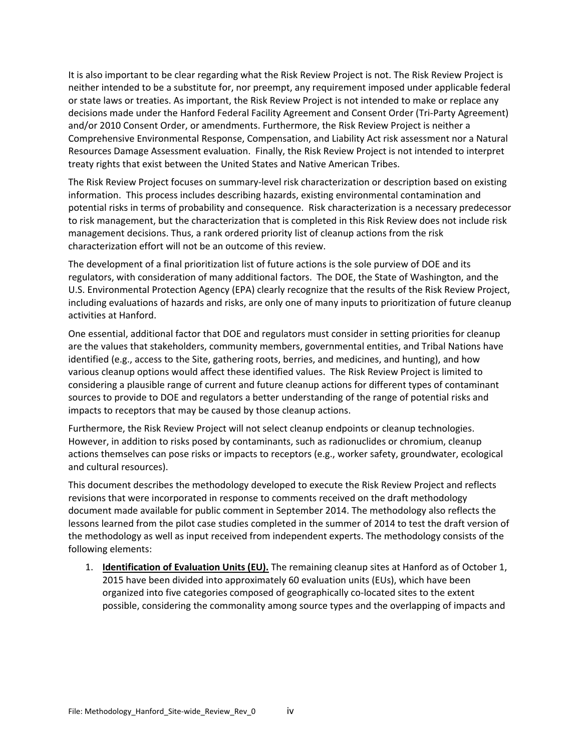It is also important to be clear regarding what the Risk Review Project is not. The Risk Review Project is neither intended to be a substitute for, nor preempt, any requirement imposed under applicable federal or state laws or treaties. As important, the Risk Review Project is not intended to make or replace any decisions made under the Hanford Federal Facility Agreement and Consent Order (Tri‐Party Agreement) and/or 2010 Consent Order, or amendments. Furthermore, the Risk Review Project is neither a Comprehensive Environmental Response, Compensation, and Liability Act risk assessment nor a Natural Resources Damage Assessment evaluation. Finally, the Risk Review Project is not intended to interpret treaty rights that exist between the United States and Native American Tribes.

The Risk Review Project focuses on summary‐level risk characterization or description based on existing information. This process includes describing hazards, existing environmental contamination and potential risks in terms of probability and consequence. Risk characterization is a necessary predecessor to risk management, but the characterization that is completed in this Risk Review does not include risk management decisions. Thus, a rank ordered priority list of cleanup actions from the risk characterization effort will not be an outcome of this review.

The development of a final prioritization list of future actions is the sole purview of DOE and its regulators, with consideration of many additional factors. The DOE, the State of Washington, and the U.S. Environmental Protection Agency (EPA) clearly recognize that the results of the Risk Review Project, including evaluations of hazards and risks, are only one of many inputs to prioritization of future cleanup activities at Hanford.

One essential, additional factor that DOE and regulators must consider in setting priorities for cleanup are the values that stakeholders, community members, governmental entities, and Tribal Nations have identified (e.g., access to the Site, gathering roots, berries, and medicines, and hunting), and how various cleanup options would affect these identified values. The Risk Review Project is limited to considering a plausible range of current and future cleanup actions for different types of contaminant sources to provide to DOE and regulators a better understanding of the range of potential risks and impacts to receptors that may be caused by those cleanup actions.

Furthermore, the Risk Review Project will not select cleanup endpoints or cleanup technologies. However, in addition to risks posed by contaminants, such as radionuclides or chromium, cleanup actions themselves can pose risks or impacts to receptors (e.g., worker safety, groundwater, ecological and cultural resources).

This document describes the methodology developed to execute the Risk Review Project and reflects revisions that were incorporated in response to comments received on the draft methodology document made available for public comment in September 2014. The methodology also reflects the lessons learned from the pilot case studies completed in the summer of 2014 to test the draft version of the methodology as well as input received from independent experts. The methodology consists of the following elements:

1. **Identification of Evaluation Units (EU).** The remaining cleanup sites at Hanford as of October 1, 2015 have been divided into approximately 60 evaluation units (EUs), which have been organized into five categories composed of geographically co‐located sites to the extent possible, considering the commonality among source types and the overlapping of impacts and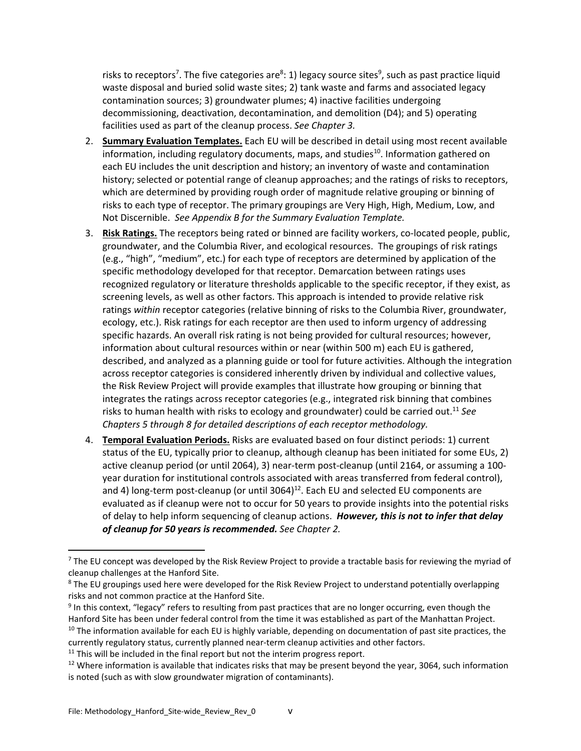risks to receptors<sup>7</sup>. The five categories are<sup>8</sup>: 1) legacy source sites<sup>9</sup>, such as past practice liquid waste disposal and buried solid waste sites; 2) tank waste and farms and associated legacy contamination sources; 3) groundwater plumes; 4) inactive facilities undergoing decommissioning, deactivation, decontamination, and demolition (D4); and 5) operating facilities used as part of the cleanup process. *See Chapter 3.*

- 2. **Summary Evaluation Templates.** Each EU will be described in detail using most recent available information, including regulatory documents, maps, and studies $^{10}$ . Information gathered on each EU includes the unit description and history; an inventory of waste and contamination history; selected or potential range of cleanup approaches; and the ratings of risks to receptors, which are determined by providing rough order of magnitude relative grouping or binning of risks to each type of receptor. The primary groupings are Very High, High, Medium, Low, and Not Discernible. *See Appendix B for the Summary Evaluation Template.*
- 3. **Risk Ratings.** The receptors being rated or binned are facility workers, co‐located people, public, groundwater, and the Columbia River, and ecological resources. The groupings of risk ratings (e.g., "high", "medium", etc.) for each type of receptors are determined by application of the specific methodology developed for that receptor. Demarcation between ratings uses recognized regulatory or literature thresholds applicable to the specific receptor, if they exist, as screening levels, as well as other factors. This approach is intended to provide relative risk ratings *within* receptor categories (relative binning of risks to the Columbia River, groundwater, ecology, etc.). Risk ratings for each receptor are then used to inform urgency of addressing specific hazards. An overall risk rating is not being provided for cultural resources; however, information about cultural resources within or near (within 500 m) each EU is gathered, described, and analyzed as a planning guide or tool for future activities. Although the integration across receptor categories is considered inherently driven by individual and collective values, the Risk Review Project will provide examples that illustrate how grouping or binning that integrates the ratings across receptor categories (e.g., integrated risk binning that combines risks to human health with risks to ecology and groundwater) could be carried out.11 *See Chapters 5 through 8 for detailed descriptions of each receptor methodology.*
- 4. **Temporal Evaluation Periods.** Risks are evaluated based on four distinct periods: 1) current status of the EU, typically prior to cleanup, although cleanup has been initiated for some EUs, 2) active cleanup period (or until 2064), 3) near-term post-cleanup (until 2164, or assuming a 100year duration for institutional controls associated with areas transferred from federal control), and 4) long-term post-cleanup (or until  $3064$ <sup>12</sup>. Each EU and selected EU components are evaluated as if cleanup were not to occur for 50 years to provide insights into the potential risks of delay to help inform sequencing of cleanup actions. *However, this is not to infer that delay of cleanup for 50 years is recommended. See Chapter 2.*

<sup>&</sup>lt;sup>7</sup> The EU concept was developed by the Risk Review Project to provide a tractable basis for reviewing the myriad of cleanup challenges at the Hanford Site.

<sup>&</sup>lt;sup>8</sup> The EU groupings used here were developed for the Risk Review Project to understand potentially overlapping risks and not common practice at the Hanford Site.

<sup>&</sup>lt;sup>9</sup> In this context, "legacy" refers to resulting from past practices that are no longer occurring, even though the Hanford Site has been under federal control from the time it was established as part of the Manhattan Project.  $10$  The information available for each EU is highly variable, depending on documentation of past site practices, the currently regulatory status, currently planned near-term cleanup activities and other factors.

 $11$  This will be included in the final report but not the interim progress report.

 $12$  Where information is available that indicates risks that may be present beyond the year, 3064, such information is noted (such as with slow groundwater migration of contaminants).